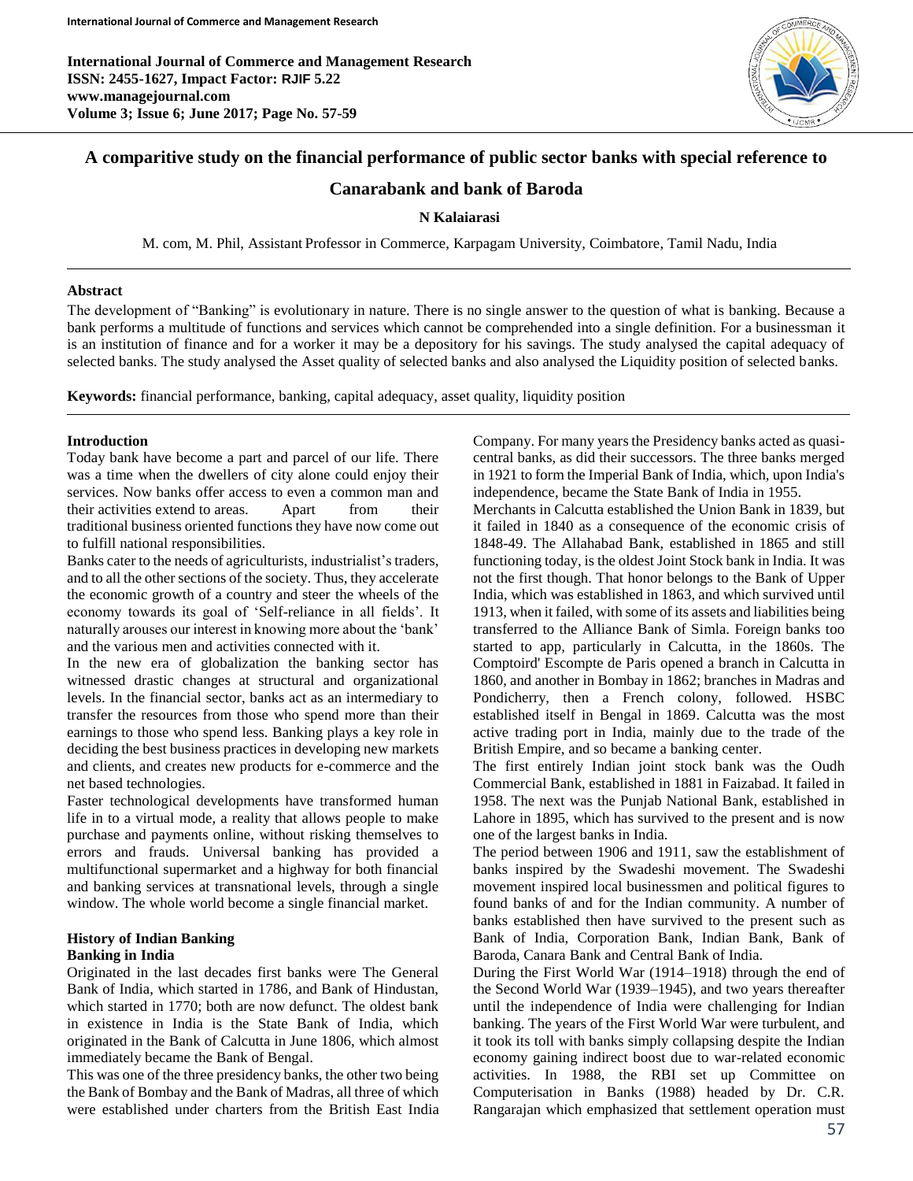

# **A comparitive study on the financial performance of public sector banks with special reference to**

# **Canarabank and bank of Baroda**

### **N Kalaiarasi**

M. com, M. Phil, Assistant Professor in Commerce, Karpagam University, Coimbatore, Tamil Nadu, India

#### **Abstract**

The development of "Banking" is evolutionary in nature. There is no single answer to the question of what is banking. Because a bank performs a multitude of functions and services which cannot be comprehended into a single definition. For a businessman it is an institution of finance and for a worker it may be a depository for his savings. The study analysed the capital adequacy of selected banks. The study analysed the Asset quality of selected banks and also analysed the Liquidity position of selected banks.

**Keywords:** financial performance, banking, capital adequacy, asset quality, liquidity position

#### **Introduction**

Today bank have become a part and parcel of our life. There was a time when the dwellers of city alone could enjoy their services. Now banks offer access to even a common man and their activities extend to areas. Apart from their traditional business oriented functions they have now come out to fulfill national responsibilities.

Banks cater to the needs of agriculturists, industrialist's traders, and to all the other sections of the society. Thus, they accelerate the economic growth of a country and steer the wheels of the economy towards its goal of 'Self-reliance in all fields'. It naturally arouses our interest in knowing more about the 'bank' and the various men and activities connected with it.

In the new era of globalization the banking sector has witnessed drastic changes at structural and organizational levels. In the financial sector, banks act as an intermediary to transfer the resources from those who spend more than their earnings to those who spend less. Banking plays a key role in deciding the best business practices in developing new markets and clients, and creates new products for e-commerce and the net based technologies.

Faster technological developments have transformed human life in to a virtual mode, a reality that allows people to make purchase and payments online, without risking themselves to errors and frauds. Universal banking has provided a multifunctional supermarket and a highway for both financial and banking services at transnational levels, through a single window. The whole world become a single financial market.

### **History of Indian Banking Banking in India**

Originated in the last decades first banks were The General Bank of India, which started in 1786, and Bank of Hindustan, which started in 1770; both are now defunct. The oldest bank in existence in India is the State Bank of India, which originated in the Bank of Calcutta in June 1806, which almost immediately became the Bank of Bengal.

This was one of the three presidency banks, the other two being the Bank of Bombay and the Bank of Madras, all three of which were established under charters from the British East India Company. For many years the Presidency banks acted as quasicentral banks, as did their successors. The three banks merged in 1921 to form the Imperial Bank of India, which, upon India's independence, became the State Bank of India in 1955.

Merchants in Calcutta established the Union Bank in 1839, but it failed in 1840 as a consequence of the economic crisis of 1848-49. The Allahabad Bank, established in 1865 and still functioning today, is the oldest Joint Stock bank in India. It was not the first though. That honor belongs to the Bank of Upper India, which was established in 1863, and which survived until 1913, when it failed, with some of its assets and liabilities being transferred to the Alliance Bank of Simla. Foreign banks too started to app, particularly in Calcutta, in the 1860s. The Comptoird' Escompte de Paris opened a branch in Calcutta in 1860, and another in Bombay in 1862; branches in Madras and Pondicherry, then a French colony, followed. HSBC established itself in Bengal in 1869. Calcutta was the most active trading port in India, mainly due to the trade of the British Empire, and so became a banking center.

The first entirely Indian joint stock bank was the Oudh Commercial Bank, established in 1881 in Faizabad. It failed in 1958. The next was the Punjab National Bank, established in Lahore in 1895, which has survived to the present and is now one of the largest banks in India.

The period between 1906 and 1911, saw the establishment of banks inspired by the Swadeshi movement. The Swadeshi movement inspired local businessmen and political figures to found banks of and for the Indian community. A number of banks established then have survived to the present such as Bank of India, Corporation Bank, Indian Bank, Bank of Baroda, Canara Bank and Central Bank of India.

During the First World War (1914–1918) through the end of the Second World War (1939–1945), and two years thereafter until the independence of India were challenging for Indian banking. The years of the First World War were turbulent, and it took its toll with banks simply collapsing despite the Indian economy gaining indirect boost due to war-related economic activities. In 1988, the RBI set up Committee on Computerisation in Banks (1988) headed by Dr. C.R. Rangarajan which emphasized that settlement operation must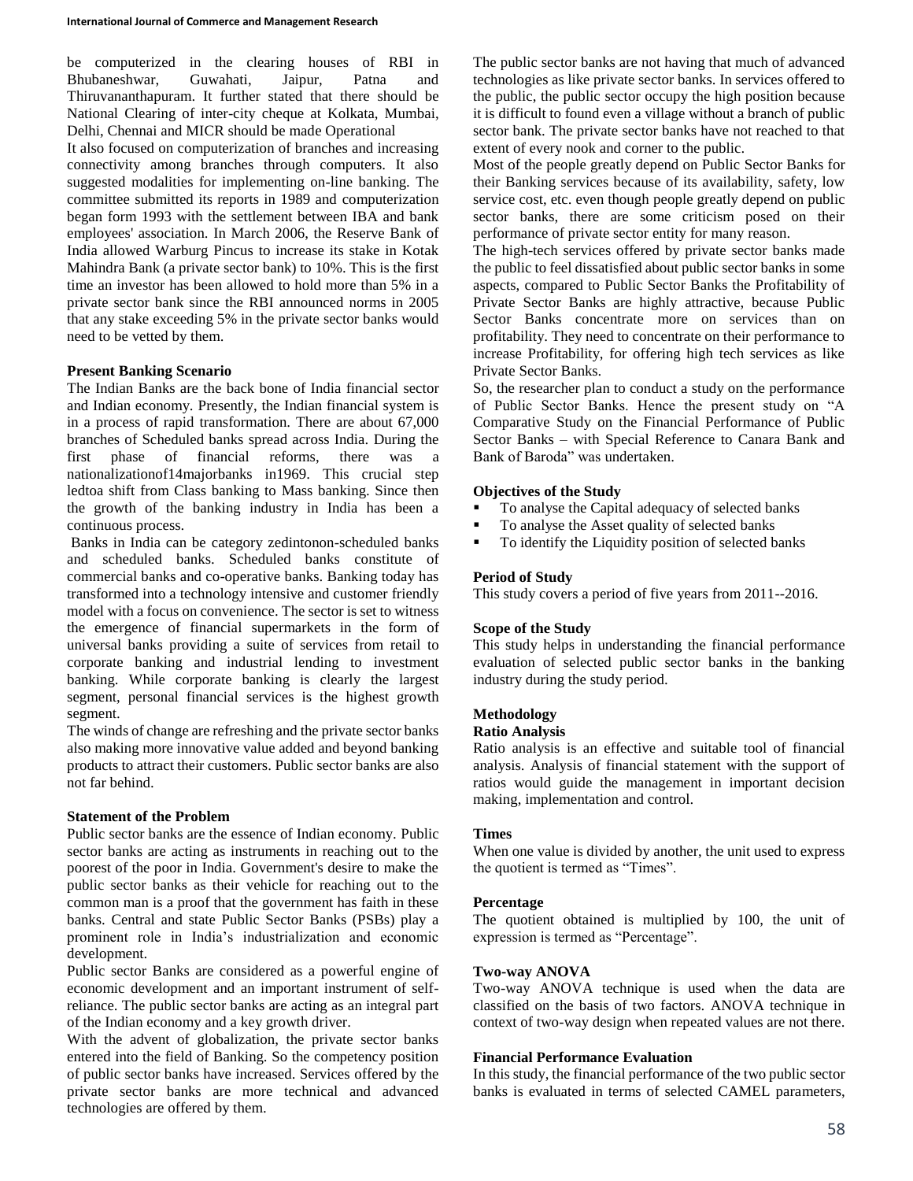be computerized in the clearing houses of RBI in Bhubaneshwar, Guwahati, Jaipur, Patna and Thiruvananthapuram. It further stated that there should be National Clearing of inter-city cheque at Kolkata, Mumbai, Delhi, Chennai and MICR should be made Operational

It also focused on computerization of branches and increasing connectivity among branches through computers. It also suggested modalities for implementing on-line banking. The committee submitted its reports in 1989 and computerization began form 1993 with the settlement between IBA and bank employees' association. In March 2006, the Reserve Bank of India allowed Warburg Pincus to increase its stake in Kotak Mahindra Bank (a private sector bank) to 10%. This is the first time an investor has been allowed to hold more than 5% in a private sector bank since the RBI announced norms in 2005 that any stake exceeding 5% in the private sector banks would need to be vetted by them.

## **Present Banking Scenario**

The Indian Banks are the back bone of India financial sector and Indian economy. Presently, the Indian financial system is in a process of rapid transformation. There are about 67,000 branches of Scheduled banks spread across India. During the first phase of financial reforms, there was a nationalizationof14majorbanks in1969. This crucial step ledtoa shift from Class banking to Mass banking. Since then the growth of the banking industry in India has been a continuous process.

Banks in India can be category zedintonon-scheduled banks and scheduled banks. Scheduled banks constitute of commercial banks and co-operative banks. Banking today has transformed into a technology intensive and customer friendly model with a focus on convenience. The sector is set to witness the emergence of financial supermarkets in the form of universal banks providing a suite of services from retail to corporate banking and industrial lending to investment banking. While corporate banking is clearly the largest segment, personal financial services is the highest growth segment.

The winds of change are refreshing and the private sector banks also making more innovative value added and beyond banking products to attract their customers. Public sector banks are also not far behind.

#### **Statement of the Problem**

Public sector banks are the essence of Indian economy. Public sector banks are acting as instruments in reaching out to the poorest of the poor in India. Government's desire to make the public sector banks as their vehicle for reaching out to the common man is a proof that the government has faith in these banks. Central and state Public Sector Banks (PSBs) play a prominent role in India's industrialization and economic development.

Public sector Banks are considered as a powerful engine of economic development and an important instrument of selfreliance. The public sector banks are acting as an integral part of the Indian economy and a key growth driver.

With the advent of globalization, the private sector banks entered into the field of Banking. So the competency position of public sector banks have increased. Services offered by the private sector banks are more technical and advanced technologies are offered by them.

The public sector banks are not having that much of advanced technologies as like private sector banks. In services offered to the public, the public sector occupy the high position because it is difficult to found even a village without a branch of public sector bank. The private sector banks have not reached to that extent of every nook and corner to the public.

Most of the people greatly depend on Public Sector Banks for their Banking services because of its availability, safety, low service cost, etc. even though people greatly depend on public sector banks, there are some criticism posed on their performance of private sector entity for many reason.

The high-tech services offered by private sector banks made the public to feel dissatisfied about public sector banks in some aspects, compared to Public Sector Banks the Profitability of Private Sector Banks are highly attractive, because Public Sector Banks concentrate more on services than on profitability. They need to concentrate on their performance to increase Profitability, for offering high tech services as like Private Sector Banks.

So, the researcher plan to conduct a study on the performance of Public Sector Banks. Hence the present study on "A Comparative Study on the Financial Performance of Public Sector Banks – with Special Reference to Canara Bank and Bank of Baroda" was undertaken.

### **Objectives of the Study**

- To analyse the Capital adequacy of selected banks
- To analyse the Asset quality of selected banks<br>■ To identify the Liquidity position of selected b
- To identify the Liquidity position of selected banks

### **Period of Study**

This study covers a period of five years from 2011--2016.

#### **Scope of the Study**

This study helps in understanding the financial performance evaluation of selected public sector banks in the banking industry during the study period.

# **Methodology**

#### **Ratio Analysis**

Ratio analysis is an effective and suitable tool of financial analysis. Analysis of financial statement with the support of ratios would guide the management in important decision making, implementation and control.

#### **Times**

When one value is divided by another, the unit used to express the quotient is termed as "Times".

#### **Percentage**

The quotient obtained is multiplied by 100, the unit of expression is termed as "Percentage".

#### **Two-way ANOVA**

Two-way ANOVA technique is used when the data are classified on the basis of two factors. ANOVA technique in context of two-way design when repeated values are not there.

### **Financial Performance Evaluation**

In this study, the financial performance of the two public sector banks is evaluated in terms of selected CAMEL parameters,